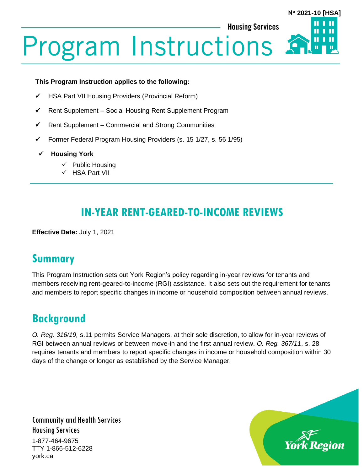**N 2021-10 [HSA]**

**Housing Services** 

**Program Instructions** 

#### **This Program Instruction applies to the following:**

- ✓ HSA Part VII Housing Providers (Provincial Reform)
- ✓ Rent Supplement Social Housing Rent Supplement Program
- ✓ Rent Supplement Commercial and Strong Communities
- ✓ Former Federal Program Housing Providers (s. 15 1/27, s. 56 1/95)
- ✓ **Housing York**
	- ✓ Public Housing
	- ✓ HSA Part VII

## **IN-YEAR RENT-GEARED-TO-INCOME REVIEWS**

**Effective Date:** July 1, 2021

### **Summary**

This Program Instruction sets out York Region's policy regarding in-year reviews for tenants and members receiving rent-geared-to-income (RGI) assistance. It also sets out the requirement for tenants and members to report specific changes in income or household composition between annual reviews.

## **Background**

*O. Reg. 316/19,* s.11 permits Service Managers, at their sole discretion, to allow for in-year reviews of RGI between annual reviews or between move-in and the first annual review. *O. Reg. 367/11*, s. 28 requires tenants and members to report specific changes in income or household composition within 30 days of the change or longer as established by the Service Manager.

Community and Health Services Housing Services

1-877-464-9675 TTY 1-866-512-6228 york.ca

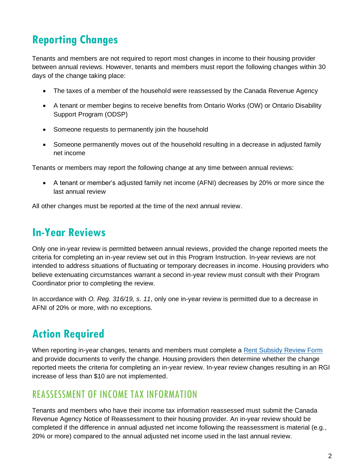# **Reporting Changes**

Tenants and members are not required to report most changes in income to their housing provider between annual reviews. However, tenants and members must report the following changes within 30 days of the change taking place:

- The taxes of a member of the household were reassessed by the Canada Revenue Agency
- A tenant or member begins to receive benefits from Ontario Works (OW) or Ontario Disability Support Program (ODSP)
- Someone requests to permanently join the household
- Someone permanently moves out of the household resulting in a decrease in adjusted family net income

Tenants or members may report the following change at any time between annual reviews:

• A tenant or member's adjusted family net income (AFNI) decreases by 20% or more since the last annual review

All other changes must be reported at the time of the next annual review.

## **In-Year Reviews**

Only one in-year review is permitted between annual reviews, provided the change reported meets the criteria for completing an in-year review set out in this Program Instruction. In-year reviews are not intended to address situations of fluctuating or temporary decreases in income. Housing providers who believe extenuating circumstances warrant a second in-year review must consult with their Program Coordinator prior to completing the review.

In accordance with *O. Reg. 316/19, s. 11*, only one in-year review is permitted due to a decrease in AFNI of 20% or more, with no exceptions.

# **Action Required**

When reporting in-year changes, tenants and members must complete a [Rent Subsidy Review Form](https://www.york.ca/wps/wcm/connect/yorkpublic/19315517-f324-4b02-8911-4bb8520b4624/New-Rent-Subsidy-Review-Form-for-reviews-completed-beginning-July-1-2021.pdf?MOD=AJPERES&CVID=nyJJWM2) and provide documents to verify the change. Housing providers then determine whether the change reported meets the criteria for completing an in-year review. In-year review changes resulting in an RGI increase of less than \$10 are not implemented.

#### REASSESSMENT OF INCOME TAX INFORMATION

Tenants and members who have their income tax information reassessed must submit the Canada Revenue Agency Notice of Reassessment to their housing provider. An in-year review should be completed if the difference in annual adjusted net income following the reassessment is material (e.g., 20% or more) compared to the annual adjusted net income used in the last annual review.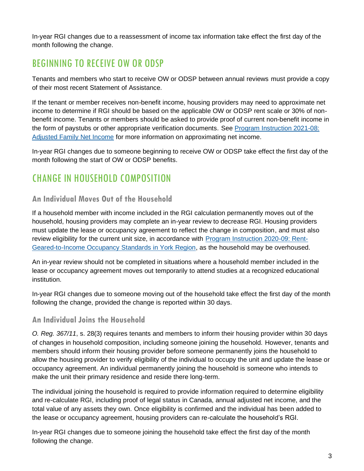In-year RGI changes due to a reassessment of income tax information take effect the first day of the month following the change.

## BEGINNING TO RECEIVE OW OR ODSP

Tenants and members who start to receive OW or ODSP between annual reviews must provide a copy of their most recent Statement of Assistance.

If the tenant or member receives non-benefit income, housing providers may need to approximate net income to determine if RGI should be based on the applicable OW or ODSP rent scale or 30% of nonbenefit income. Tenants or members should be asked to provide proof of current non-benefit income in the form of paystubs or other appropriate verification documents. See [Program Instruction 2021-08:](https://www.york.ca/wps/wcm/connect/yorkpublic/e7376716-2f09-4a38-9bc5-1ce7bdcb2650/PI-2021-08-Adjusted-Family-Net-Income.pdf?MOD=AJPERES)  [Adjusted Family Net Income](https://www.york.ca/wps/wcm/connect/yorkpublic/e7376716-2f09-4a38-9bc5-1ce7bdcb2650/PI-2021-08-Adjusted-Family-Net-Income.pdf?MOD=AJPERES) for more information on approximating net income.

In-year RGI changes due to someone beginning to receive OW or ODSP take effect the first day of the month following the start of OW or ODSP benefits.

## CHANGE IN HOUSEHOLD COMPOSITION

#### **An Individual Moves Out of the Household**

If a household member with income included in the RGI calculation permanently moves out of the household, housing providers may complete an in-year review to decrease RGI. Housing providers must update the lease or occupancy agreement to reflect the change in composition, and must also review eligibility for the current unit size, in accordance with [Program Instruction 2020-09: Rent-](https://www.york.ca/wps/wcm/connect/yorkpublic/c92fadab-cd91-4571-ad1f-499b38b7cf54/PI-2020-09-HSA-Rent-Geared-to-Income-Occupancy-Standards-in-York-Region.pdf?MOD=AJPERES&CVID=npNdVbc)[Geared-to-Income Occupancy Standards in York Region,](https://www.york.ca/wps/wcm/connect/yorkpublic/c92fadab-cd91-4571-ad1f-499b38b7cf54/PI-2020-09-HSA-Rent-Geared-to-Income-Occupancy-Standards-in-York-Region.pdf?MOD=AJPERES&CVID=npNdVbc) as the household may be overhoused.

An in-year review should not be completed in situations where a household member included in the lease or occupancy agreement moves out temporarily to attend studies at a recognized educational institution.

In-year RGI changes due to someone moving out of the household take effect the first day of the month following the change, provided the change is reported within 30 days.

#### **An Individual Joins the Household**

*O. Reg. 367/11*, s. 28(3) requires tenants and members to inform their housing provider within 30 days of changes in household composition, including someone joining the household. However, tenants and members should inform their housing provider before someone permanently joins the household to allow the housing provider to verify eligibility of the individual to occupy the unit and update the lease or occupancy agreement. An individual permanently joining the household is someone who intends to make the unit their primary residence and reside there long-term.

The individual joining the household is required to provide information required to determine eligibility and re-calculate RGI, including proof of legal status in Canada, annual adjusted net income, and the total value of any assets they own. Once eligibility is confirmed and the individual has been added to the lease or occupancy agreement, housing providers can re-calculate the household's RGI.

In-year RGI changes due to someone joining the household take effect the first day of the month following the change.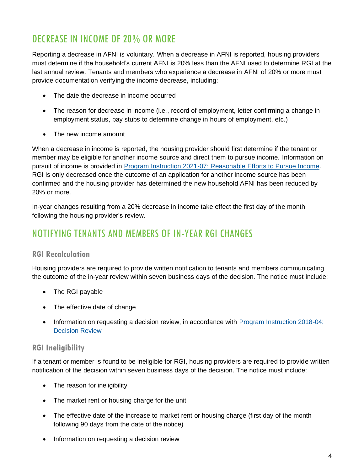### DECREASE IN INCOME OF 20% OR MORE

Reporting a decrease in AFNI is voluntary. When a decrease in AFNI is reported, housing providers must determine if the household's current AFNI is 20% less than the AFNI used to determine RGI at the last annual review. Tenants and members who experience a decrease in AFNI of 20% or more must provide documentation verifying the income decrease, including:

- The date the decrease in income occurred
- The reason for decrease in income (i.e., record of employment, letter confirming a change in employment status, pay stubs to determine change in hours of employment, etc.)
- The new income amount

When a decrease in income is reported, the housing provider should first determine if the tenant or member may be eligible for another income source and direct them to pursue income. Information on pursuit of income is provided in [Program Instruction 2021-07: Reasonable Efforts to Pursue Income.](https://www.york.ca/wps/wcm/connect/yorkpublic/d5db47aa-9b8b-423d-ba3e-d8dd57f4bd5c/PI-2021-07-Reasonable-Efforts-to-Pursue-Income.pdf?MOD=AJPERES) RGI is only decreased once the outcome of an application for another income source has been confirmed and the housing provider has determined the new household AFNI has been reduced by 20% or more.

In-year changes resulting from a 20% decrease in income take effect the first day of the month following the housing provider's review.

### NOTIFYING TENANTS AND MEMBERS OF IN-YEAR RGI CHANGES

#### **RGI Recalculation**

Housing providers are required to provide written notification to tenants and members communicating the outcome of the in-year review within seven business days of the decision. The notice must include:

- The RGI payable
- The effective date of change
- Information on requesting a decision review, in accordance with Program Instruction 2018-04: [Decision Review](https://www.york.ca/wps/wcm/connect/yorkpublic/019a0f93-056d-4c13-b62b-d7da95dbfb4d/Program-Instructions-Decision-Review-Process.pdf?MOD=AJPERES&CVID=mukDtUV)

#### **RGI Ineligibility**

If a tenant or member is found to be ineligible for RGI, housing providers are required to provide written notification of the decision within seven business days of the decision. The notice must include:

- The reason for ineligibility
- The market rent or housing charge for the unit
- The effective date of the increase to market rent or housing charge (first day of the month following 90 days from the date of the notice)
- Information on requesting a decision review